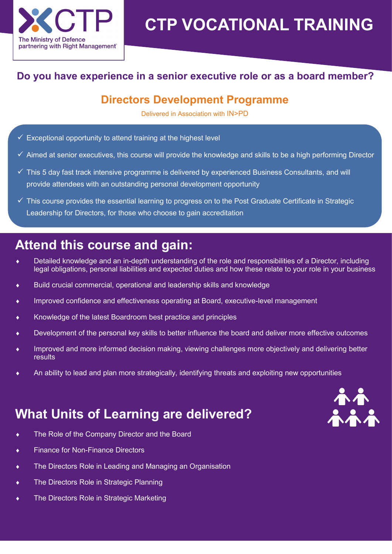

# **CTP VOCATIONAL TRAINING**

#### **Do you have experience in a senior executive role or as a board member?**

### **Directors Development Programme**

Delivered in Association with IN>PD

- $\checkmark$  Exceptional opportunity to attend training at the highest level
- $\checkmark$  Aimed at senior executives, this course will provide the knowledge and skills to be a high performing Director
- $\checkmark$  This 5 day fast track intensive programme is delivered by experienced Business Consultants, and will provide attendees with an outstanding personal development opportunity
- $\checkmark$  This course provides the essential learning to progress on to the Post Graduate Certificate in Strategic Leadership for Directors, for those who choose to gain accreditation

# **Attend this course and gain:**

- Detailed knowledge and an in-depth understanding of the role and responsibilities of a Director, including legal obligations, personal liabilities and expected duties and how these relate to your role in your business
- Build crucial commercial, operational and leadership skills and knowledge
- Improved confidence and effectiveness operating at Board, executive-level management
- Knowledge of the latest Boardroom best practice and principles
- Development of the personal key skills to better influence the board and deliver more effective outcomes
- Improved and more informed decision making, viewing challenges more objectively and delivering better results
- An ability to lead and plan more strategically, identifying threats and exploiting new opportunities

# **What Units of Learning are delivered?**

- The Role of the Company Director and the Board
- ◆ Finance for Non-Finance Directors
- The Directors Role in Leading and Managing an Organisation
- The Directors Role in Strategic Planning
- The Directors Role in Strategic Marketing